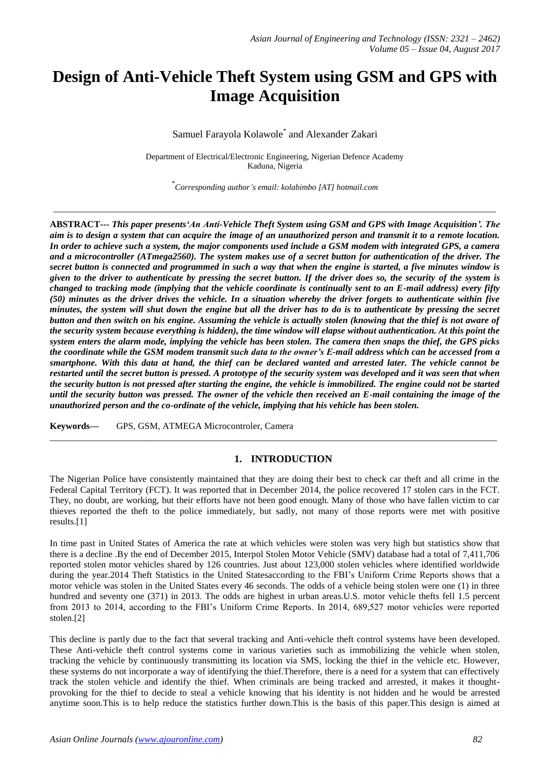# **Design of Anti-Vehicle Theft System using GSM and GPS with Image Acquisition**

Samuel Farayola Kolawole\* and Alexander Zakari

Department of Electrical/Electronic Engineering, Nigerian Defence Academy Kaduna, Nigeria

\* *Corresponding author's email: kolabimbo [AT] hotmail.com*

*\_\_\_\_\_\_\_\_\_\_\_\_\_\_\_\_\_\_\_\_\_\_\_\_\_\_\_\_\_\_\_\_\_\_\_\_\_\_\_\_\_\_\_\_\_\_\_\_\_\_\_\_\_\_\_\_\_\_\_\_\_\_\_\_\_\_\_\_\_\_\_\_\_\_\_\_\_\_\_\_\_\_\_\_\_\_\_\_\_\_\_\_\_\_\_\_*

**ABSTRACT---** *This paper presents'An Anti-Vehicle Theft System using GSM and GPS with Image Acquisition'. The aim is to design a system that can acquire the image of an unauthorized person and transmit it to a remote location. In order to achieve such a system, the major components used include a GSM modem with integrated GPS, a camera and a microcontroller (ATmega2560). The system makes use of a secret button for authentication of the driver. The secret button is connected and programmed in such a way that when the engine is started, a five minutes window is given to the driver to authenticate by pressing the secret button. If the driver does so, the security of the system is changed to tracking mode (implying that the vehicle coordinate is continually sent to an E-mail address) every fifty (50) minutes as the driver drives the vehicle. In a situation whereby the driver forgets to authenticate within five minutes, the system will shut down the engine but all the driver has to do is to authenticate by pressing the secret button and then switch on his engine. Assuming the vehicle is actually stolen (knowing that the thief is not aware of the security system because everything is hidden), the time window will elapse without authentication. At this point the system enters the alarm mode, implying the vehicle has been stolen. The camera then snaps the thief, the GPS picks the coordinate while the GSM modem transmit such data to the owner's E-mail address which can be accessed from a smartphone. With this data at hand, the thief can be declared wanted and arrested later. The vehicle cannot be restarted until the secret button is pressed. A prototype of the security system was developed and it was seen that when the security button is not pressed after starting the engine, the vehicle is immobilized. The engine could not be started until the security button was pressed. The owner of the vehicle then received an E-mail containing the image of the unauthorized person and the co-ordinate of the vehicle, implying that his vehicle has been stolen.* 

**Keywords**--- GPS, GSM, ATMEGA Microcontroler, Camera

## **1. INTRODUCTION**

The Nigerian Police have consistently maintained that they are doing their best to check car theft and all crime in the Federal Capital Territory (FCT). It was reported that in December 2014, the police recovered 17 stolen cars in the FCT. They, no doubt, are working, but their efforts have not been good enough. Many of those who have fallen victim to car thieves reported the theft to the police immediately, but sadly, not many of those reports were met with positive results.[1]

 $\_$  ,  $\_$  ,  $\_$  ,  $\_$  ,  $\_$  ,  $\_$  ,  $\_$  ,  $\_$  ,  $\_$  ,  $\_$  ,  $\_$  ,  $\_$  ,  $\_$  ,  $\_$  ,  $\_$  ,  $\_$  ,  $\_$  ,  $\_$  ,  $\_$  ,  $\_$  ,  $\_$  ,  $\_$  ,  $\_$  ,  $\_$  ,  $\_$  ,  $\_$  ,  $\_$  ,  $\_$  ,  $\_$  ,  $\_$  ,  $\_$  ,  $\_$  ,  $\_$  ,  $\_$  ,  $\_$  ,  $\_$  ,  $\_$  ,

In time past in United States of America the rate at which vehicles were stolen was very high but statistics show that there is a decline .By the end of December 2015, Interpol Stolen Motor Vehicle (SMV) database had a total of 7,411,706 reported stolen motor vehicles shared by 126 countries. Just about 123,000 stolen vehicles where identified worldwide during the year.2014 Theft Statistics in the United Statesaccording to the FBI's Uniform Crime Reports shows that a motor vehicle was stolen in the United States every 46 seconds. The odds of a vehicle being stolen were one (1) in three hundred and seventy one (371) in 2013. The odds are highest in urban areas. U.S. motor vehicle thefts fell 1.5 percent from 2013 to 2014, according to the FBI's Uniform Crime Reports. In 2014, 689,527 motor vehicles were reported stolen.[2]

This decline is partly due to the fact that several tracking and Anti-vehicle theft control systems have been developed. These Anti-vehicle theft control systems come in various varieties such as immobilizing the vehicle when stolen, tracking the vehicle by continuously transmitting its location via SMS, locking the thief in the vehicle etc. However, these systems do not incorporate a way of identifying the thief.Therefore, there is a need for a system that can effectively track the stolen vehicle and identify the thief. When criminals are being tracked and arrested, it makes it thoughtprovoking for the thief to decide to steal a vehicle knowing that his identity is not hidden and he would be arrested anytime soon.This is to help reduce the statistics further down.This is the basis of this paper.This design is aimed at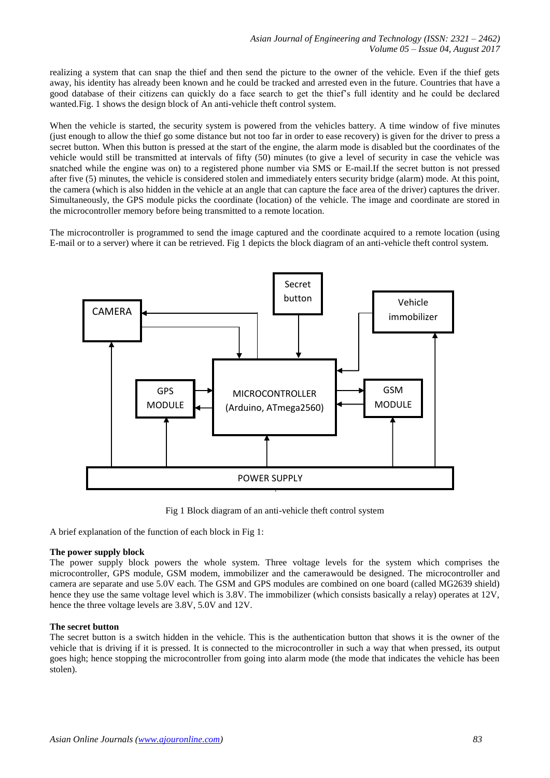realizing a system that can snap the thief and then send the picture to the owner of the vehicle. Even if the thief gets away, his identity has already been known and he could be tracked and arrested even in the future. Countries that have a good database of their citizens can quickly do a face search to get the thief's full identity and he could be declared wanted.Fig. 1 shows the design block of An anti-vehicle theft control system.

When the vehicle is started, the security system is powered from the vehicles battery. A time window of five minutes (just enough to allow the thief go some distance but not too far in order to ease recovery) is given for the driver to press a secret button. When this button is pressed at the start of the engine, the alarm mode is disabled but the coordinates of the vehicle would still be transmitted at intervals of fifty (50) minutes (to give a level of security in case the vehicle was snatched while the engine was on) to a registered phone number via SMS or E-mail.If the secret button is not pressed after five (5) minutes, the vehicle is considered stolen and immediately enters security bridge (alarm) mode. At this point, the camera (which is also hidden in the vehicle at an angle that can capture the face area of the driver) captures the driver. Simultaneously, the GPS module picks the coordinate (location) of the vehicle. The image and coordinate are stored in the microcontroller memory before being transmitted to a remote location.

The microcontroller is programmed to send the image captured and the coordinate acquired to a remote location (using E-mail or to a server) where it can be retrieved. Fig 1 depicts the block diagram of an anti-vehicle theft control system.



Fig 1 Block diagram of an anti-vehicle theft control system

A brief explanation of the function of each block in Fig 1:

## **The power supply block**

The power supply block powers the whole system. Three voltage levels for the system which comprises the microcontroller, GPS module, GSM modem, immobilizer and the camerawould be designed. The microcontroller and camera are separate and use 5.0V each. The GSM and GPS modules are combined on one board (called MG2639 shield) hence they use the same voltage level which is 3.8V. The immobilizer (which consists basically a relay) operates at 12V, hence the three voltage levels are 3.8V, 5.0V and 12V.

## **The secret button**

The secret button is a switch hidden in the vehicle. This is the authentication button that shows it is the owner of the vehicle that is driving if it is pressed. It is connected to the microcontroller in such a way that when pressed, its output goes high; hence stopping the microcontroller from going into alarm mode (the mode that indicates the vehicle has been stolen).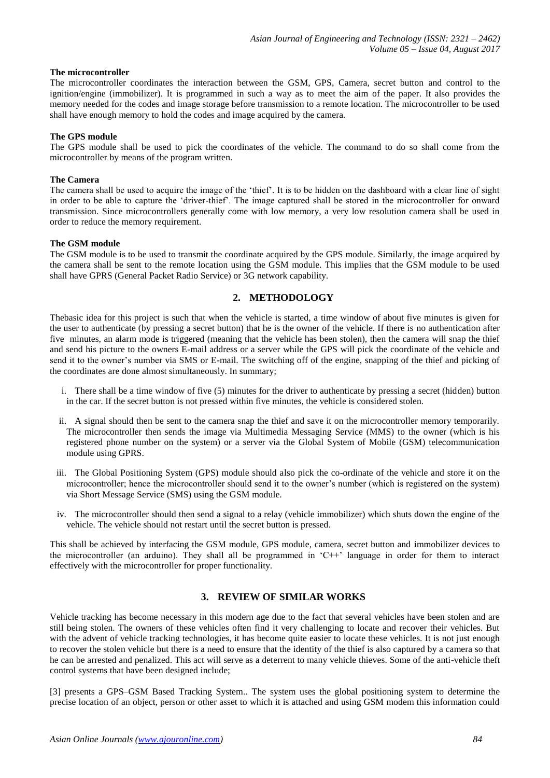#### **The microcontroller**

The microcontroller coordinates the interaction between the GSM, GPS, Camera, secret button and control to the ignition/engine (immobilizer). It is programmed in such a way as to meet the aim of the paper. It also provides the memory needed for the codes and image storage before transmission to a remote location. The microcontroller to be used shall have enough memory to hold the codes and image acquired by the camera.

#### **The GPS module**

The GPS module shall be used to pick the coordinates of the vehicle. The command to do so shall come from the microcontroller by means of the program written.

#### **The Camera**

The camera shall be used to acquire the image of the 'thief'. It is to be hidden on the dashboard with a clear line of sight in order to be able to capture the 'driver-thief'. The image captured shall be stored in the microcontroller for onward transmission. Since microcontrollers generally come with low memory, a very low resolution camera shall be used in order to reduce the memory requirement.

#### **The GSM module**

The GSM module is to be used to transmit the coordinate acquired by the GPS module. Similarly, the image acquired by the camera shall be sent to the remote location using the GSM module. This implies that the GSM module to be used shall have GPRS (General Packet Radio Service) or 3G network capability.

# **2. METHODOLOGY**

Thebasic idea for this project is such that when the vehicle is started, a time window of about five minutes is given for the user to authenticate (by pressing a secret button) that he is the owner of the vehicle. If there is no authentication after five minutes, an alarm mode is triggered (meaning that the vehicle has been stolen), then the camera will snap the thief and send his picture to the owners E-mail address or a server while the GPS will pick the coordinate of the vehicle and send it to the owner's number via SMS or E-mail. The switching off of the engine, snapping of the thief and picking of the coordinates are done almost simultaneously. In summary;

- i. There shall be a time window of five (5) minutes for the driver to authenticate by pressing a secret (hidden) button in the car. If the secret button is not pressed within five minutes, the vehicle is considered stolen.
- ii. A signal should then be sent to the camera snap the thief and save it on the microcontroller memory temporarily. The microcontroller then sends the image via Multimedia Messaging Service (MMS) to the owner (which is his registered phone number on the system) or a server via the Global System of Mobile (GSM) telecommunication module using GPRS.
- iii. The Global Positioning System (GPS) module should also pick the co-ordinate of the vehicle and store it on the microcontroller; hence the microcontroller should send it to the owner's number (which is registered on the system) via Short Message Service (SMS) using the GSM module.
- iv. The microcontroller should then send a signal to a relay (vehicle immobilizer) which shuts down the engine of the vehicle. The vehicle should not restart until the secret button is pressed.

This shall be achieved by interfacing the GSM module, GPS module, camera, secret button and immobilizer devices to the microcontroller (an arduino). They shall all be programmed in 'C++' language in order for them to interact effectively with the microcontroller for proper functionality.

# **3. REVIEW OF SIMILAR WORKS**

Vehicle tracking has become necessary in this modern age due to the fact that several vehicles have been stolen and are still being stolen. The owners of these vehicles often find it very challenging to locate and recover their vehicles. But with the advent of vehicle tracking technologies, it has become quite easier to locate these vehicles. It is not just enough to recover the stolen vehicle but there is a need to ensure that the identity of the thief is also captured by a camera so that he can be arrested and penalized. This act will serve as a deterrent to many vehicle thieves. Some of the anti-vehicle theft control systems that have been designed include;

[3] presents a GPS–GSM Based Tracking System.. The system uses the global positioning system to determine the precise location of an object, person or other asset to which it is attached and using GSM modem this information could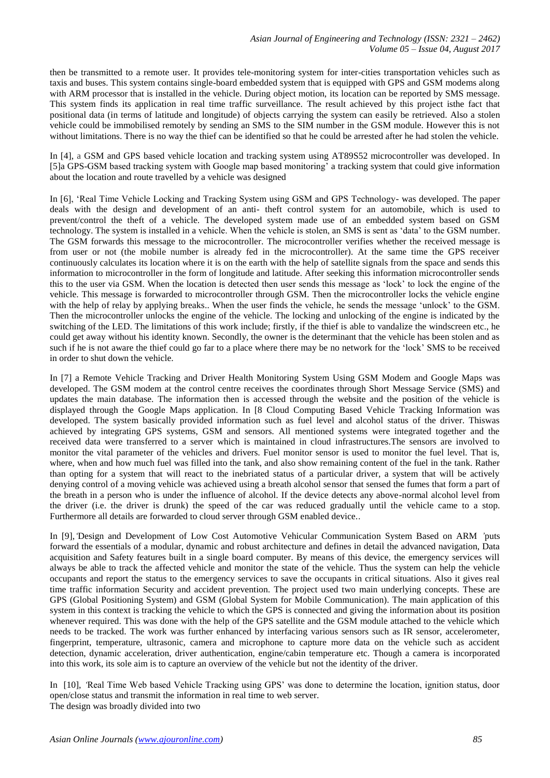then be transmitted to a remote user. It provides tele-monitoring system for inter-cities transportation vehicles such as taxis and buses. This system contains single-board embedded system that is equipped with GPS and GSM modems along with ARM processor that is installed in the vehicle. During object motion, its location can be reported by SMS message. This system finds its application in real time traffic surveillance. The result achieved by this project isthe fact that positional data (in terms of latitude and longitude) of objects carrying the system can easily be retrieved. Also a stolen vehicle could be immobilised remotely by sending an SMS to the SIM number in the GSM module. However this is not without limitations. There is no way the thief can be identified so that he could be arrested after he had stolen the vehicle.

In [4], a GSM and GPS based vehicle location and tracking system using AT89S52 microcontroller was developed. In [5]a GPS-GSM based tracking system with Google map based monitoring' a tracking system that could give information about the location and route travelled by a vehicle was designed

In [6], 'Real Time Vehicle Locking and Tracking System using GSM and GPS Technology- was developed. The paper deals with the design and development of an anti- theft control system for an automobile, which is used to prevent/control the theft of a vehicle. The developed system made use of an embedded system based on GSM technology. The system is installed in a vehicle. When the vehicle is stolen, an SMS is sent as 'data' to the GSM number. The GSM forwards this message to the microcontroller. The microcontroller verifies whether the received message is from user or not (the mobile number is already fed in the microcontroller). At the same time the GPS receiver continuously calculates its location where it is on the earth with the help of satellite signals from the space and sends this information to microcontroller in the form of longitude and latitude. After seeking this information microcontroller sends this to the user via GSM. When the location is detected then user sends this message as 'lock' to lock the engine of the vehicle. This message is forwarded to microcontroller through GSM. Then the microcontroller locks the vehicle engine with the help of relay by applying breaks.. When the user finds the vehicle, he sends the message 'unlock' to the GSM. Then the microcontroller unlocks the engine of the vehicle. The locking and unlocking of the engine is indicated by the switching of the LED. The limitations of this work include; firstly, if the thief is able to vandalize the windscreen etc., he could get away without his identity known. Secondly, the owner is the determinant that the vehicle has been stolen and as such if he is not aware the thief could go far to a place where there may be no network for the 'lock' SMS to be received in order to shut down the vehicle.

In [7] a Remote Vehicle Tracking and Driver Health Monitoring System Using GSM Modem and Google Maps was developed. The GSM modem at the control centre receives the coordinates through Short Message Service (SMS) and updates the main database. The information then is accessed through the website and the position of the vehicle is displayed through the Google Maps application. In [8 Cloud Computing Based Vehicle Tracking Information was developed. The system basically provided information such as fuel level and alcohol status of the driver. Thiswas achieved by integrating GPS systems, GSM and sensors. All mentioned systems were integrated together and the received data were transferred to a server which is maintained in cloud infrastructures.The sensors are involved to monitor the vital parameter of the vehicles and drivers. Fuel monitor sensor is used to monitor the fuel level. That is, where, when and how much fuel was filled into the tank, and also show remaining content of the fuel in the tank. Rather than opting for a system that will react to the inebriated status of a particular driver, a system that will be actively denying control of a moving vehicle was achieved using a breath alcohol sensor that sensed the fumes that form a part of the breath in a person who is under the influence of alcohol. If the device detects any above-normal alcohol level from the driver (i.e. the driver is drunk) the speed of the car was reduced gradually until the vehicle came to a stop. Furthermore all details are forwarded to cloud server through GSM enabled device..

In [9],*'*Design and Development of Low Cost Automotive Vehicular Communication System Based on ARM *'*puts forward the essentials of a modular, dynamic and robust architecture and defines in detail the advanced navigation, Data acquisition and Safety features built in a single board computer. By means of this device, the emergency services will always be able to track the affected vehicle and monitor the state of the vehicle. Thus the system can help the vehicle occupants and report the status to the emergency services to save the occupants in critical situations. Also it gives real time traffic information Security and accident prevention. The project used two main underlying concepts. These are GPS (Global Positioning System) and GSM (Global System for Mobile Communication). The main application of this system in this context is tracking the vehicle to which the GPS is connected and giving the information about its position whenever required. This was done with the help of the GPS satellite and the GSM module attached to the vehicle which needs to be tracked. The work was further enhanced by interfacing various sensors such as IR sensor, accelerometer, fingerprint, temperature, ultrasonic, camera and microphone to capture more data on the vehicle such as accident detection, dynamic acceleration, driver authentication, engine/cabin temperature etc. Though a camera is incorporated into this work, its sole aim is to capture an overview of the vehicle but not the identity of the driver.

In [10], *'*Real Time Web based Vehicle Tracking using GPS' was done to determine the location, ignition status, door open/close status and transmit the information in real time to web server. The design was broadly divided into two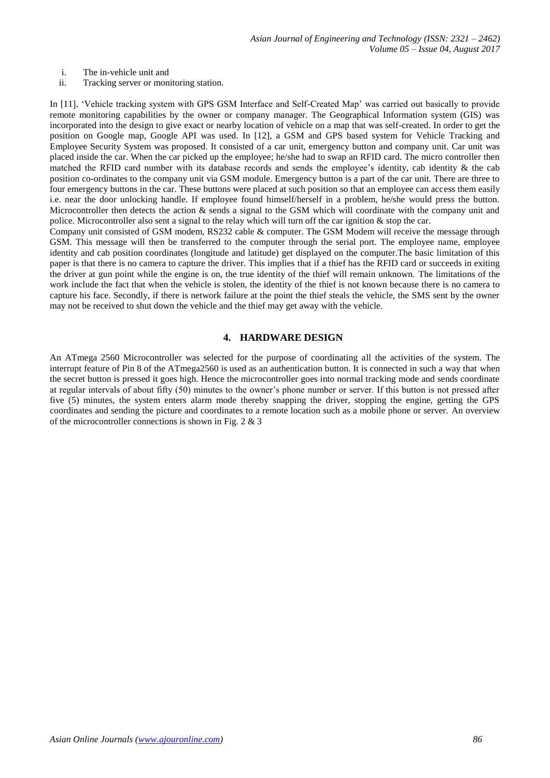- i. The in-vehicle unit and
- ii. Tracking server or monitoring station.

In [11], 'Vehicle tracking system with GPS GSM Interface and Self-Created Map' was carried out basically to provide remote monitoring capabilities by the owner or company manager. The Geographical Information system (GIS) was incorporated into the design to give exact or nearby location of vehicle on a map that was self-created. In order to get the position on Google map, Google API was used. In [12], a GSM and GPS based system for Vehicle Tracking and Employee Security System was proposed. It consisted of a car unit, emergency button and company unit. Car unit was placed inside the car. When the car picked up the employee; he/she had to swap an RFID card. The micro controller then matched the RFID card number with its database records and sends the employee's identity, cab identity & the cab position co-ordinates to the company unit via GSM module. Emergency button is a part of the car unit. There are three to four emergency buttons in the car. These buttons were placed at such position so that an employee can access them easily i.e. near the door unlocking handle. If employee found himself/herself in a problem, he/she would press the button. Microcontroller then detects the action  $\&$  sends a signal to the GSM which will coordinate with the company unit and police. Microcontroller also sent a signal to the relay which will turn off the car ignition & stop the car.

Company unit consisted of GSM modem, RS232 cable & computer. The GSM Modem will receive the message through GSM. This message will then be transferred to the computer through the serial port. The employee name, employee identity and cab position coordinates (longitude and latitude) get displayed on the computer.The basic limitation of this paper is that there is no camera to capture the driver. This implies that if a thief has the RFID card or succeeds in exiting the driver at gun point while the engine is on, the true identity of the thief will remain unknown. The limitations of the work include the fact that when the vehicle is stolen, the identity of the thief is not known because there is no camera to capture his face. Secondly, if there is network failure at the point the thief steals the vehicle, the SMS sent by the owner may not be received to shut down the vehicle and the thief may get away with the vehicle.

## **4. HARDWARE DESIGN**

An ATmega 2560 Microcontroller was selected for the purpose of coordinating all the activities of the system. The interrupt feature of Pin 8 of the ATmega2560 is used as an authentication button. It is connected in such a way that when the secret button is pressed it goes high. Hence the microcontroller goes into normal tracking mode and sends coordinate at regular intervals of about fifty (50) minutes to the owner's phone number or server. If this button is not pressed after five (5) minutes, the system enters alarm mode thereby snapping the driver, stopping the engine, getting the GPS coordinates and sending the picture and coordinates to a remote location such as a mobile phone or server. An overview of the microcontroller connections is shown in Fig. 2  $\&$  3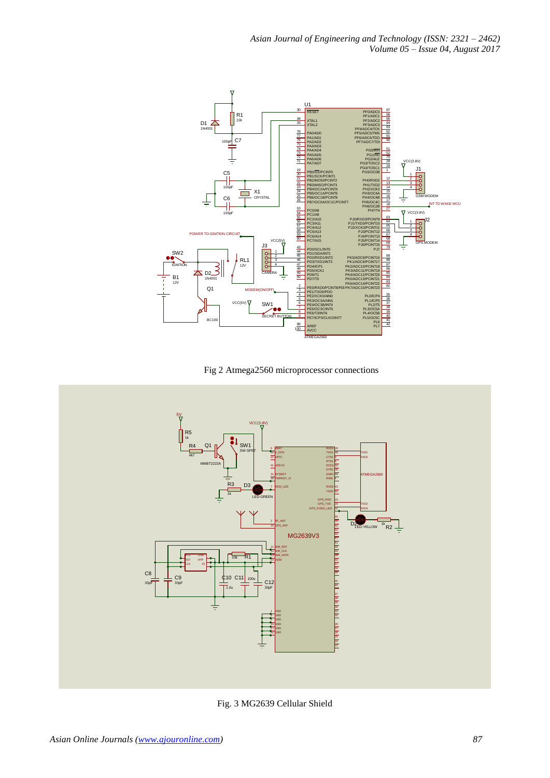

Fig 2 Atmega2560 microprocessor connections



Fig. 3 MG2639 Cellular Shield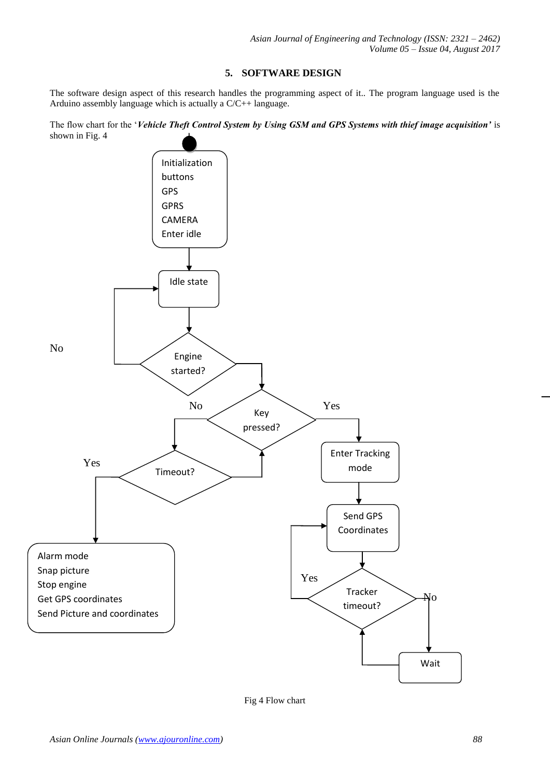## **5. SOFTWARE DESIGN**

The software design aspect of this research handles the programming aspect of it.. The program language used is the Arduino assembly language which is actually a C/C++ language.

The flow chart for the '*Vehicle Theft Control System by Using GSM and GPS Systems with thief image acquisition'* is shown in Fig. 4



Fig 4 Flow chart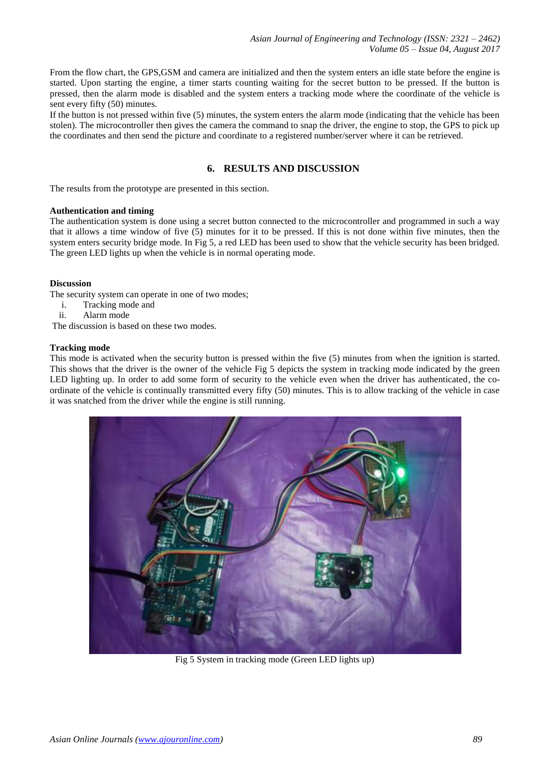From the flow chart, the GPS,GSM and camera are initialized and then the system enters an idle state before the engine is started. Upon starting the engine, a timer starts counting waiting for the secret button to be pressed. If the button is pressed, then the alarm mode is disabled and the system enters a tracking mode where the coordinate of the vehicle is sent every fifty (50) minutes.

If the button is not pressed within five (5) minutes, the system enters the alarm mode (indicating that the vehicle has been stolen). The microcontroller then gives the camera the command to snap the driver, the engine to stop, the GPS to pick up the coordinates and then send the picture and coordinate to a registered number/server where it can be retrieved.

# **6. RESULTS AND DISCUSSION**

The results from the prototype are presented in this section.

#### **Authentication and timing**

The authentication system is done using a secret button connected to the microcontroller and programmed in such a way that it allows a time window of five (5) minutes for it to be pressed. If this is not done within five minutes, then the system enters security bridge mode. In Fig 5, a red LED has been used to show that the vehicle security has been bridged. The green LED lights up when the vehicle is in normal operating mode.

## **Discussion**

The security system can operate in one of two modes;

- i. Tracking mode and
- ii. Alarm mode

The discussion is based on these two modes.

## **Tracking mode**

This mode is activated when the security button is pressed within the five (5) minutes from when the ignition is started. This shows that the driver is the owner of the vehicle Fig 5 depicts the system in tracking mode indicated by the green LED lighting up. In order to add some form of security to the vehicle even when the driver has authenticated, the coordinate of the vehicle is continually transmitted every fifty (50) minutes. This is to allow tracking of the vehicle in case it was snatched from the driver while the engine is still running.



Fig 5 System in tracking mode (Green LED lights up)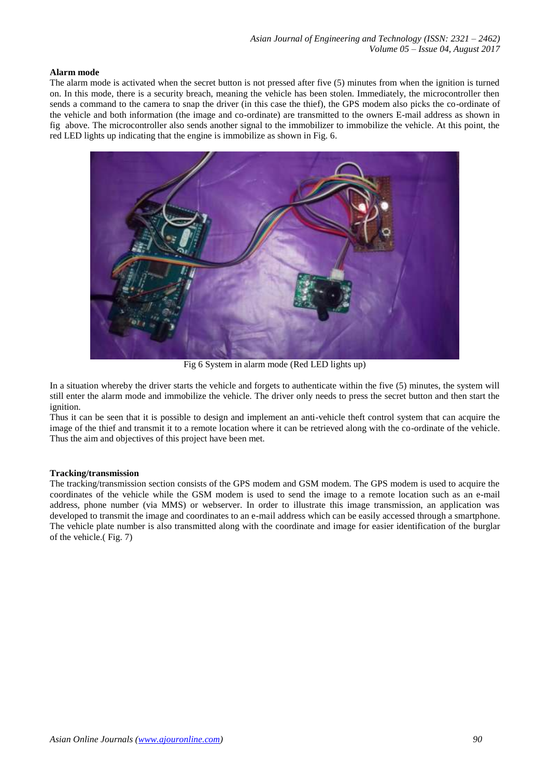#### **Alarm mode**

The alarm mode is activated when the secret button is not pressed after five (5) minutes from when the ignition is turned on. In this mode, there is a security breach, meaning the vehicle has been stolen. Immediately, the microcontroller then sends a command to the camera to snap the driver (in this case the thief), the GPS modem also picks the co-ordinate of the vehicle and both information (the image and co-ordinate) are transmitted to the owners E-mail address as shown in fig above. The microcontroller also sends another signal to the immobilizer to immobilize the vehicle. At this point, the red LED lights up indicating that the engine is immobilize as shown in Fig. 6.



Fig 6 System in alarm mode (Red LED lights up)

In a situation whereby the driver starts the vehicle and forgets to authenticate within the five (5) minutes, the system will still enter the alarm mode and immobilize the vehicle. The driver only needs to press the secret button and then start the ignition.

Thus it can be seen that it is possible to design and implement an anti-vehicle theft control system that can acquire the image of the thief and transmit it to a remote location where it can be retrieved along with the co-ordinate of the vehicle. Thus the aim and objectives of this project have been met.

#### **Tracking/transmission**

The tracking/transmission section consists of the GPS modem and GSM modem. The GPS modem is used to acquire the coordinates of the vehicle while the GSM modem is used to send the image to a remote location such as an e-mail address, phone number (via MMS) or webserver. In order to illustrate this image transmission, an application was developed to transmit the image and coordinates to an e-mail address which can be easily accessed through a smartphone. The vehicle plate number is also transmitted along with the coordinate and image for easier identification of the burglar of the vehicle.( Fig. 7)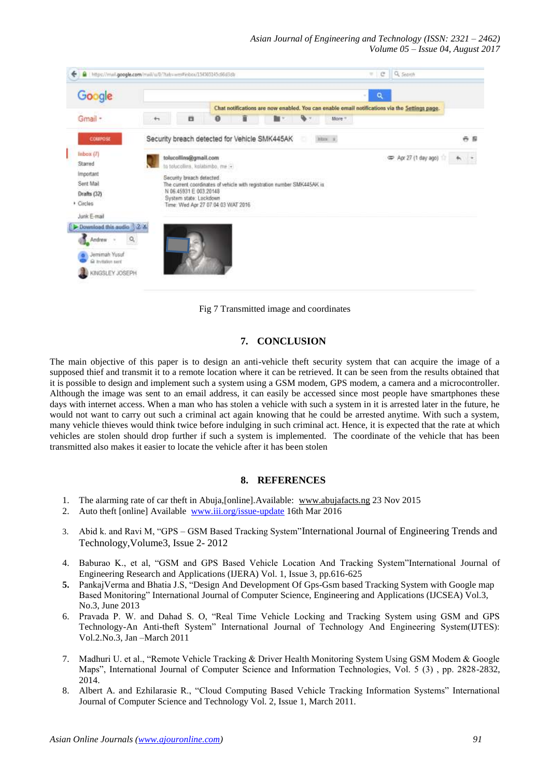| Google                             | ۹<br>÷.                          |                                    |                                                                                               |   |                                                                         |   |           |        |                       |       |
|------------------------------------|----------------------------------|------------------------------------|-----------------------------------------------------------------------------------------------|---|-------------------------------------------------------------------------|---|-----------|--------|-----------------------|-------|
|                                    |                                  |                                    | Chat notifications are now enabled. You can enable email notifications via the Settings page. |   |                                                                         |   |           |        |                       |       |
| Gmail -                            | $+1$                             | o                                  | $\theta$                                                                                      | î | h -                                                                     |   |           | More = |                       |       |
| COMPOSE                            |                                  |                                    |                                                                                               |   | Security breach detected for Vehicle SMK445AK                           | o | $20n + 2$ |        |                       | ö B   |
| lnbox(7)                           |                                  | tolucollins@gmail.com              |                                                                                               |   |                                                                         |   |           |        | co Apr 27 (1 day ago) | $+ -$ |
| Starred                            | to tolucollins, kolabimbo, me :- |                                    |                                                                                               |   |                                                                         |   |           |        |                       |       |
| important                          |                                  | Security breach detected           |                                                                                               |   |                                                                         |   |           |        |                       |       |
| Sent Mail                          |                                  | N 06.45931 E 003.20148             |                                                                                               |   | The current coordinates of vehicle with registration number SMK445AK in |   |           |        |                       |       |
| Drafts (32)                        |                                  | System state: Lockdown             |                                                                                               |   |                                                                         |   |           |        |                       |       |
| Circles                            |                                  | Time: Wed Apr 27 07:04:03 WAT 2016 |                                                                                               |   |                                                                         |   |           |        |                       |       |
| Junk E-mail                        |                                  |                                    |                                                                                               |   |                                                                         |   |           |        |                       |       |
| Download this audio 2 X            |                                  |                                    |                                                                                               |   |                                                                         |   |           |        |                       |       |
| ۹<br>Andrew                        |                                  |                                    |                                                                                               |   |                                                                         |   |           |        |                       |       |
| Jemimah Yusuf<br>G Invitation sent |                                  |                                    |                                                                                               |   |                                                                         |   |           |        |                       |       |
|                                    |                                  |                                    |                                                                                               |   |                                                                         |   |           |        |                       |       |

Fig 7 Transmitted image and coordinates

# **7. CONCLUSION**

The main objective of this paper is to design an anti-vehicle theft security system that can acquire the image of a supposed thief and transmit it to a remote location where it can be retrieved. It can be seen from the results obtained that it is possible to design and implement such a system using a GSM modem, GPS modem, a camera and a microcontroller. Although the image was sent to an email address, it can easily be accessed since most people have smartphones these days with internet access. When a man who has stolen a vehicle with such a system in it is arrested later in the future, he would not want to carry out such a criminal act again knowing that he could be arrested anytime. With such a system, many vehicle thieves would think twice before indulging in such criminal act. Hence, it is expected that the rate at which vehicles are stolen should drop further if such a system is implemented. The coordinate of the vehicle that has been transmitted also makes it easier to locate the vehicle after it has been stolen

# **8. REFERENCES**

- 1. The alarming rate of car theft in Abuja,[online].Available: [www.abujafacts.ng](http://www.abujafacts.ng/) 23 Nov 2015
- 2. Auto theft [online] Available [www.iii.org/issue-update](http://www.iii.org/issue-update) 16th Mar 2016
- 3. Abid k. and Ravi M, "GPS GSM Based Tracking System"International Journal of Engineering Trends and Technology,Volume3, Issue 2- 2012
- 4. Baburao K., et al, "GSM and GPS Based Vehicle Location And Tracking System"International Journal of Engineering Research and Applications (IJERA) Vol. 1, Issue 3, pp.616-625
- **5.** PankajVerma and Bhatia J.S, "Design And Development Of Gps-Gsm based Tracking System with Google map Based Monitoring" International Journal of Computer Science, Engineering and Applications (IJCSEA) Vol.3, No.3, June 2013
- 6. Pravada P. W. and Dahad S. O, "Real Time Vehicle Locking and Tracking System using GSM and GPS Technology-An Anti-theft System" International Journal of Technology And Engineering System(IJTES): Vol.2.No.3, Jan –March 2011
- 7. Madhuri U. et al., "Remote Vehicle Tracking & Driver Health Monitoring System Using GSM Modem & Google Maps", International Journal of Computer Science and Information Technologies, Vol. 5 (3) , pp. 2828-2832, 2014.
- 8. Albert A. and Ezhilarasie R., "Cloud Computing Based Vehicle Tracking Information Systems" International Journal of Computer Science and Technology Vol. 2, Issue 1, March 2011.